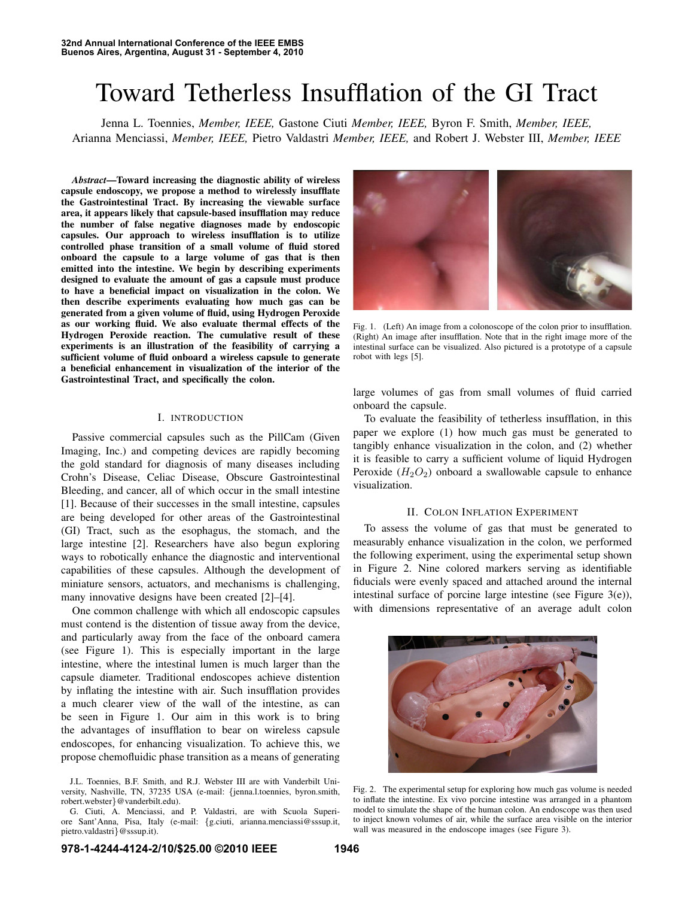# Toward Tetherless Insufflation of the GI Tract

Jenna L. Toennies, *Member, IEEE,* Gastone Ciuti *Member, IEEE,* Byron F. Smith, *Member, IEEE,* Arianna Menciassi, *Member, IEEE,* Pietro Valdastri *Member, IEEE,* and Robert J. Webster III, *Member, IEEE*

*Abstract*—Toward increasing the diagnostic ability of wireless capsule endoscopy, we propose a method to wirelessly insufflate the Gastrointestinal Tract. By increasing the viewable surface area, it appears likely that capsule-based insufflation may reduce the number of false negative diagnoses made by endoscopic capsules. Our approach to wireless insufflation is to utilize controlled phase transition of a small volume of fluid stored onboard the capsule to a large volume of gas that is then emitted into the intestine. We begin by describing experiments designed to evaluate the amount of gas a capsule must produce to have a beneficial impact on visualization in the colon. We then describe experiments evaluating how much gas can be generated from a given volume of fluid, using Hydrogen Peroxide as our working fluid. We also evaluate thermal effects of the Hydrogen Peroxide reaction. The cumulative result of these experiments is an illustration of the feasibility of carrying a sufficient volume of fluid onboard a wireless capsule to generate a beneficial enhancement in visualization of the interior of the Gastrointestinal Tract, and specifically the colon.

# I. INTRODUCTION

Passive commercial capsules such as the PillCam (Given Imaging, Inc.) and competing devices are rapidly becoming the gold standard for diagnosis of many diseases including Crohn's Disease, Celiac Disease, Obscure Gastrointestinal Bleeding, and cancer, all of which occur in the small intestine [1]. Because of their successes in the small intestine, capsules are being developed for other areas of the Gastrointestinal (GI) Tract, such as the esophagus, the stomach, and the large intestine [2]. Researchers have also begun exploring ways to robotically enhance the diagnostic and interventional capabilities of these capsules. Although the development of miniature sensors, actuators, and mechanisms is challenging, many innovative designs have been created [2]–[4].

One common challenge with which all endoscopic capsules must contend is the distention of tissue away from the device, and particularly away from the face of the onboard camera (see Figure 1). This is especially important in the large intestine, where the intestinal lumen is much larger than the capsule diameter. Traditional endoscopes achieve distention by inflating the intestine with air. Such insufflation provides a much clearer view of the wall of the intestine, as can be seen in Figure 1. Our aim in this work is to bring the advantages of insufflation to bear on wireless capsule endoscopes, for enhancing visualization. To achieve this, we propose chemofluidic phase transition as a means of generating



Fig. 1. (Left) An image from a colonoscope of the colon prior to insufflation. (Right) An image after insufflation. Note that in the right image more of the intestinal surface can be visualized. Also pictured is a prototype of a capsule robot with legs [5].

large volumes of gas from small volumes of fluid carried onboard the capsule.

To evaluate the feasibility of tetherless insufflation, in this paper we explore (1) how much gas must be generated to tangibly enhance visualization in the colon, and (2) whether it is feasible to carry a sufficient volume of liquid Hydrogen Peroxide  $(H_2O_2)$  onboard a swallowable capsule to enhance visualization.

## II. COLON INFLATION EXPERIMENT

To assess the volume of gas that must be generated to measurably enhance visualization in the colon, we performed the following experiment, using the experimental setup shown in Figure 2. Nine colored markers serving as identifiable fiducials were evenly spaced and attached around the internal intestinal surface of porcine large intestine (see Figure 3(e)), with dimensions representative of an average adult colon



Fig. 2. The experimental setup for exploring how much gas volume is needed to inflate the intestine. Ex vivo porcine intestine was arranged in a phantom model to simulate the shape of the human colon. An endoscope was then used to inject known volumes of air, while the surface area visible on the interior wall was measured in the endoscope images (see Figure 3).

J.L. Toennies, B.F. Smith, and R.J. Webster III are with Vanderbilt University, Nashville, TN, 37235 USA (e-mail: {jenna.l.toennies, byron.smith, robert.webster}@vanderbilt.edu).

G. Ciuti, A. Menciassi, and P. Valdastri, are with Scuola Superiore Sant'Anna, Pisa, Italy (e-mail: {g.ciuti, arianna.menciassi@sssup.it, pietro.valdastri}@sssup.it).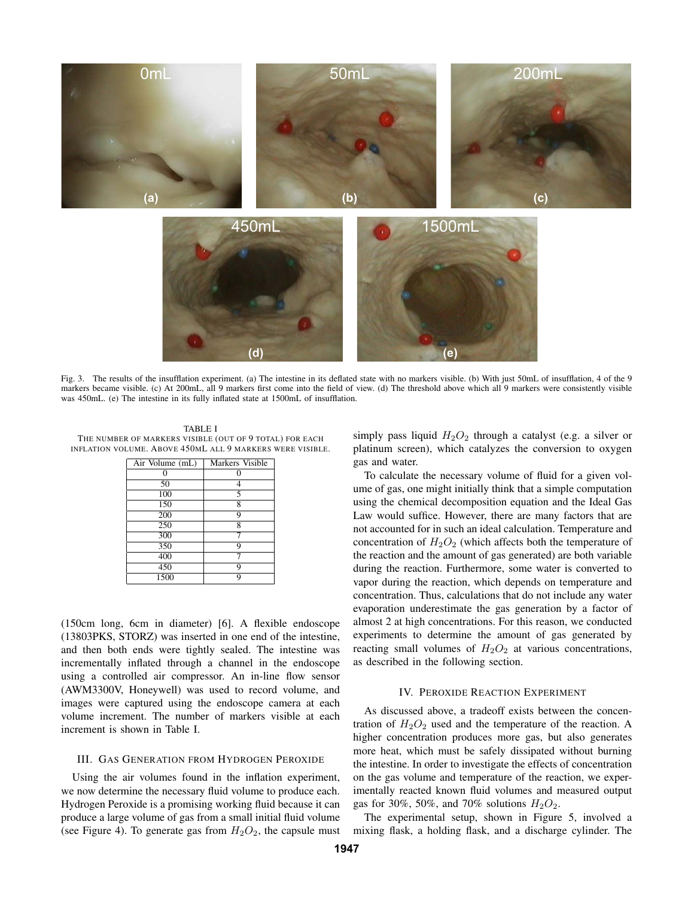

Fig. 3. The results of the insufflation experiment. (a) The intestine in its deflated state with no markers visible. (b) With just 50mL of insufflation, 4 of the 9 markers became visible. (c) At 200mL, all 9 markers first come into the field of view. (d) The threshold above which all 9 markers were consistently visible was 450mL. (e) The intestine in its fully inflated state at 1500mL of insufflation.

TABLE I THE NUMBER OF MARKERS VISIBLE (OUT OF 9 TOTAL) FOR EACH INFLATION VOLUME. ABOVE 450ML ALL 9 MARKERS WERE VISIBLE.

| Air Volume (mL) | Markers Visible |  |
|-----------------|-----------------|--|
|                 |                 |  |
| 50              | 4               |  |
| 100             | 5               |  |
| 150             | 8               |  |
| 200             | 9               |  |
| 250             | 8               |  |
| 300             | 7               |  |
| 350             | 9               |  |
| 400             |                 |  |
| 450             | 9               |  |
| 1500            | 9               |  |

(150cm long, 6cm in diameter) [6]. A flexible endoscope (13803PKS, STORZ) was inserted in one end of the intestine, and then both ends were tightly sealed. The intestine was incrementally inflated through a channel in the endoscope using a controlled air compressor. An in-line flow sensor (AWM3300V, Honeywell) was used to record volume, and images were captured using the endoscope camera at each volume increment. The number of markers visible at each increment is shown in Table I.

### III. GAS GENERATION FROM HYDROGEN PEROXIDE

Using the air volumes found in the inflation experiment, we now determine the necessary fluid volume to produce each. Hydrogen Peroxide is a promising working fluid because it can produce a large volume of gas from a small initial fluid volume (see Figure 4). To generate gas from  $H_2O_2$ , the capsule must simply pass liquid  $H_2O_2$  through a catalyst (e.g. a silver or platinum screen), which catalyzes the conversion to oxygen gas and water.

To calculate the necessary volume of fluid for a given volume of gas, one might initially think that a simple computation using the chemical decomposition equation and the Ideal Gas Law would suffice. However, there are many factors that are not accounted for in such an ideal calculation. Temperature and concentration of  $H_2O_2$  (which affects both the temperature of the reaction and the amount of gas generated) are both variable during the reaction. Furthermore, some water is converted to vapor during the reaction, which depends on temperature and concentration. Thus, calculations that do not include any water evaporation underestimate the gas generation by a factor of almost 2 at high concentrations. For this reason, we conducted experiments to determine the amount of gas generated by reacting small volumes of  $H_2O_2$  at various concentrations, as described in the following section.

## IV. PEROXIDE REACTION EXPERIMENT

As discussed above, a tradeoff exists between the concentration of  $H_2O_2$  used and the temperature of the reaction. A higher concentration produces more gas, but also generates more heat, which must be safely dissipated without burning the intestine. In order to investigate the effects of concentration on the gas volume and temperature of the reaction, we experimentally reacted known fluid volumes and measured output gas for 30%, 50%, and 70% solutions  $H_2O_2$ .

The experimental setup, shown in Figure 5, involved a mixing flask, a holding flask, and a discharge cylinder. The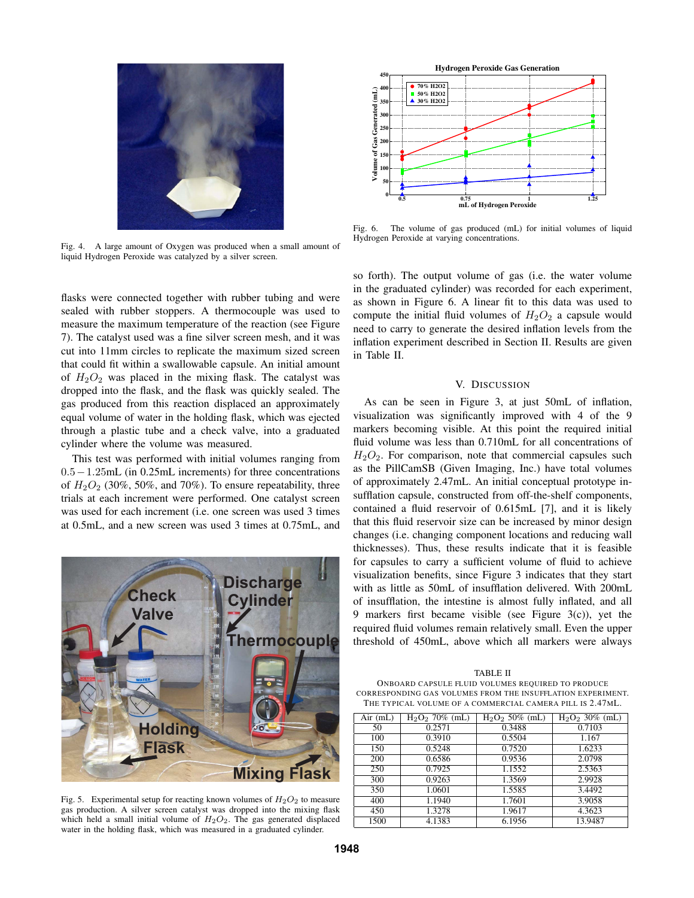

Fig. 4. A large amount of Oxygen was produced when a small amount of liquid Hydrogen Peroxide was catalyzed by a silver screen.

flasks were connected together with rubber tubing and were sealed with rubber stoppers. A thermocouple was used to measure the maximum temperature of the reaction (see Figure 7). The catalyst used was a fine silver screen mesh, and it was cut into 11mm circles to replicate the maximum sized screen that could fit within a swallowable capsule. An initial amount of  $H_2O_2$  was placed in the mixing flask. The catalyst was dropped into the flask, and the flask was quickly sealed. The gas produced from this reaction displaced an approximately equal volume of water in the holding flask, which was ejected through a plastic tube and a check valve, into a graduated cylinder where the volume was measured.

This test was performed with initial volumes ranging from 0.5−1.25mL (in 0.25mL increments) for three concentrations of  $H_2O_2$  (30%, 50%, and 70%). To ensure repeatability, three trials at each increment were performed. One catalyst screen was used for each increment (i.e. one screen was used 3 times at 0.5mL, and a new screen was used 3 times at 0.75mL, and



Fig. 5. Experimental setup for reacting known volumes of  $H_2O_2$  to measure gas production. A silver screen catalyst was dropped into the mixing flask which held a small initial volume of  $H<sub>2</sub>O<sub>2</sub>$ . The gas generated displaced water in the holding flask, which was measured in a graduated cylinder.



Fig. 6. The volume of gas produced (mL) for initial volumes of liquid Hydrogen Peroxide at varying concentrations.

so forth). The output volume of gas (i.e. the water volume in the graduated cylinder) was recorded for each experiment, as shown in Figure 6. A linear fit to this data was used to compute the initial fluid volumes of  $H_2O_2$  a capsule would need to carry to generate the desired inflation levels from the inflation experiment described in Section II. Results are given in Table II.

## V. DISCUSSION

As can be seen in Figure 3, at just 50mL of inflation, visualization was significantly improved with 4 of the 9 markers becoming visible. At this point the required initial fluid volume was less than 0.710mL for all concentrations of  $H<sub>2</sub>O<sub>2</sub>$ . For comparison, note that commercial capsules such as the PillCamSB (Given Imaging, Inc.) have total volumes of approximately 2.47mL. An initial conceptual prototype insufflation capsule, constructed from off-the-shelf components, contained a fluid reservoir of 0.615mL [7], and it is likely that this fluid reservoir size can be increased by minor design changes (i.e. changing component locations and reducing wall thicknesses). Thus, these results indicate that it is feasible for capsules to carry a sufficient volume of fluid to achieve visualization benefits, since Figure 3 indicates that they start with as little as 50mL of insufflation delivered. With 200mL of insufflation, the intestine is almost fully inflated, and all 9 markers first became visible (see Figure 3(c)), yet the required fluid volumes remain relatively small. Even the upper threshold of 450mL, above which all markers were always

TABLE II ONBOARD CAPSULE FLUID VOLUMES REQUIRED TO PRODUCE CORRESPONDING GAS VOLUMES FROM THE INSUFFLATION EXPERIMENT. THE TYPICAL VOLUME OF A COMMERCIAL CAMERA PILL IS 2.47ML.

| $Air$ (mL) | $H_2O_2$ 70% (mL) | $H_2O_2$ 50% (mL) | $H_2O_2$ 30% (mL) |
|------------|-------------------|-------------------|-------------------|
| 50         | 0.2571            | 0.3488            | 0.7103            |
| 100        | 0.3910            | 0.5504            | 1.167             |
| 150        | 0.5248            | 0.7520            | 1.6233            |
| 200        | 0.6586            | 0.9536            | 2.0798            |
| 250        | 0.7925            | 1.1552            | 2.5363            |
| 300        | 0.9263            | 1.3569            | 2.9928            |
| 350        | 1.0601            | 1.5585            | 3.4492            |
| 400        | 1.1940            | 1.7601            | 3.9058            |
| 450        | 1.3278            | 1.9617            | 4.3623            |
| 1500       | 4.1383            | 6.1956            | 13.9487           |